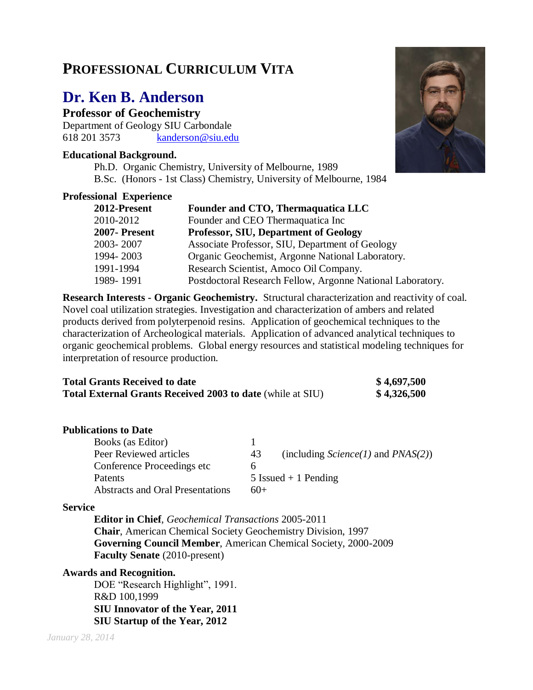# **PROFESSIONAL CURRICULUM VITA**

# **Dr. Ken B. Anderson**

**Professor of Geochemistry**

Department of Geology SIU Carbondale 618 201 3573 [kanderson@siu.edu](mailto:kanderson@siu.edu)

# **Educational Background.**

Ph.D. Organic Chemistry, University of Melbourne, 1989 B.Sc. (Honors - 1st Class) Chemistry, University of Melbourne, 1984

# **Professional Experience**

| 2012-Present  | Founder and CTO, Thermaquatica LLC                         |
|---------------|------------------------------------------------------------|
| 2010-2012     | Founder and CEO Thermaquatica Inc                          |
| 2007- Present | <b>Professor, SIU, Department of Geology</b>               |
| 2003-2007     | Associate Professor, SIU, Department of Geology            |
| 1994-2003     | Organic Geochemist, Argonne National Laboratory.           |
| 1991-1994     | Research Scientist, Amoco Oil Company.                     |
| 1989-1991     | Postdoctoral Research Fellow, Argonne National Laboratory. |

**Research Interests - Organic Geochemistry.** Structural characterization and reactivity of coal. Novel coal utilization strategies. Investigation and characterization of ambers and related products derived from polyterpenoid resins. Application of geochemical techniques to the characterization of Archeological materials. Application of advanced analytical techniques to organic geochemical problems. Global energy resources and statistical modeling techniques for interpretation of resource production.

| <b>Total Grants Received to date</b>                              | \$4,697,500 |
|-------------------------------------------------------------------|-------------|
| <b>Total External Grants Received 2003 to date (while at SIU)</b> | \$4,326,500 |

### **Publications to Date**

| Books (as Editor)                       |                                               |
|-----------------------------------------|-----------------------------------------------|
| Peer Reviewed articles                  | (including $Science(1)$ and $PNAS(2)$ )<br>43 |
| Conference Proceedings etc.             | n                                             |
| <b>Patents</b>                          | 5 Issued $+1$ Pending                         |
| <b>Abstracts and Oral Presentations</b> | $60+$                                         |

### **Service**

**Editor in Chief**, *Geochemical Transactions* 2005-2011 **Chair**, American Chemical Society Geochemistry Division, 1997 **Governing Council Member**, American Chemical Society, 2000-2009 **Faculty Senate** (2010-present)

### **Awards and Recognition.**

DOE "Research Highlight", 1991. R&D 100,1999 **SIU Innovator of the Year, 2011 SIU Startup of the Year, 2012**

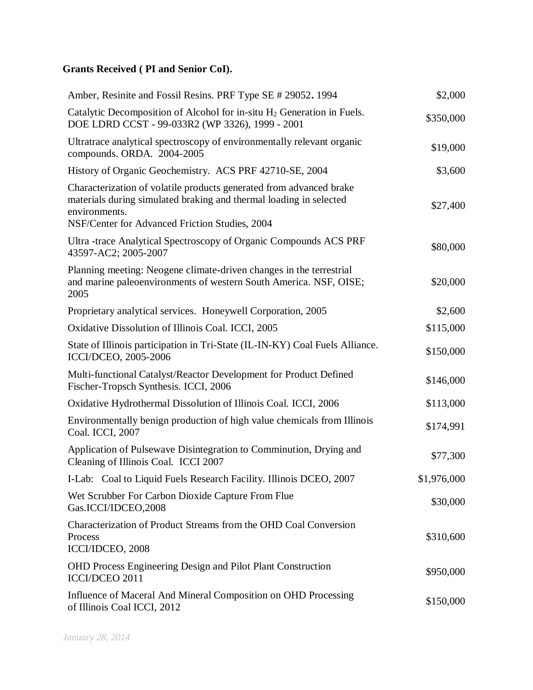# **Grants Received ( PI and Senior CoI).**

| Amber, Resinite and Fossil Resins. PRF Type SE # 29052. 1994                                                                                                                                                 | \$2,000     |
|--------------------------------------------------------------------------------------------------------------------------------------------------------------------------------------------------------------|-------------|
| Catalytic Decomposition of Alcohol for in-situ H <sub>2</sub> Generation in Fuels.<br>DOE LDRD CCST - 99-033R2 (WP 3326), 1999 - 2001                                                                        | \$350,000   |
| Ultratrace analytical spectroscopy of environmentally relevant organic<br>compounds. ORDA. 2004-2005                                                                                                         | \$19,000    |
| History of Organic Geochemistry. ACS PRF 42710-SE, 2004                                                                                                                                                      | \$3,600     |
| Characterization of volatile products generated from advanced brake<br>materials during simulated braking and thermal loading in selected<br>environments.<br>NSF/Center for Advanced Friction Studies, 2004 | \$27,400    |
| Ultra-trace Analytical Spectroscopy of Organic Compounds ACS PRF<br>43597-AC2; 2005-2007                                                                                                                     | \$80,000    |
| Planning meeting: Neogene climate-driven changes in the terrestrial<br>and marine paleoenvironments of western South America. NSF, OISE;<br>2005                                                             | \$20,000    |
| Proprietary analytical services. Honeywell Corporation, 2005                                                                                                                                                 | \$2,600     |
| Oxidative Dissolution of Illinois Coal. ICCI, 2005                                                                                                                                                           | \$115,000   |
| State of Illinois participation in Tri-State (IL-IN-KY) Coal Fuels Alliance.<br>ICCI/DCEO, 2005-2006                                                                                                         | \$150,000   |
| Multi-functional Catalyst/Reactor Development for Product Defined<br>Fischer-Tropsch Synthesis. ICCI, 2006                                                                                                   | \$146,000   |
| Oxidative Hydrothermal Dissolution of Illinois Coal. ICCI, 2006                                                                                                                                              | \$113,000   |
| Environmentally benign production of high value chemicals from Illinois<br>Coal. ICCI, 2007                                                                                                                  | \$174,991   |
| Application of Pulsewave Disintegration to Comminution, Drying and<br>Cleaning of Illinois Coal. ICCI 2007                                                                                                   | \$77,300    |
| I-Lab: Coal to Liquid Fuels Research Facility. Illinois DCEO, 2007                                                                                                                                           | \$1,976,000 |
| Wet Scrubber For Carbon Dioxide Capture From Flue<br>Gas.ICCI/IDCEO,2008                                                                                                                                     | \$30,000    |
| Characterization of Product Streams from the OHD Coal Conversion<br>Process<br>ICCI/IDCEO, 2008                                                                                                              | \$310,600   |
| <b>OHD Process Engineering Design and Pilot Plant Construction</b><br>ICCI/DCEO 2011                                                                                                                         | \$950,000   |
| Influence of Maceral And Mineral Composition on OHD Processing<br>of Illinois Coal ICCI, 2012                                                                                                                | \$150,000   |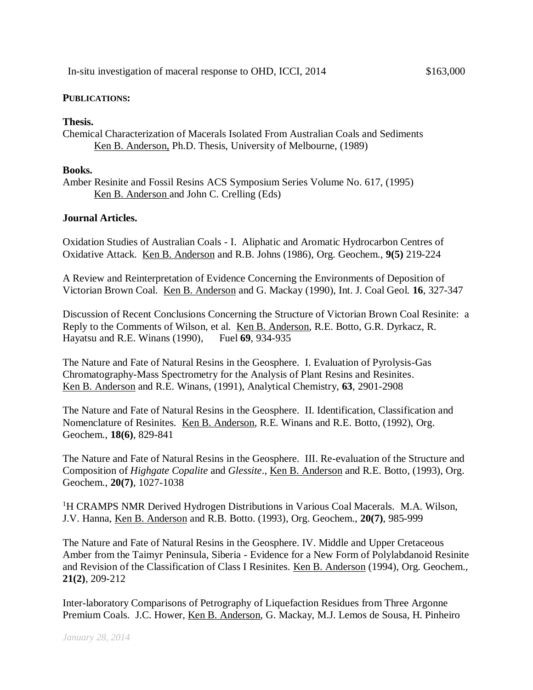#### **PUBLICATIONS:**

#### **Thesis.**

Chemical Characterization of Macerals Isolated From Australian Coals and Sediments Ken B. Anderson, Ph.D. Thesis, University of Melbourne, (1989)

#### **Books.**

Amber Resinite and Fossil Resins ACS Symposium Series Volume No. 617, (1995) Ken B. Anderson and John C. Crelling (Eds)

### **Journal Articles.**

Oxidation Studies of Australian Coals - I. Aliphatic and Aromatic Hydrocarbon Centres of Oxidative Attack. Ken B. Anderson and R.B. Johns (1986), Org. Geochem., **9(5)** 219-224

A Review and Reinterpretation of Evidence Concerning the Environments of Deposition of Victorian Brown Coal. Ken B. Anderson and G. Mackay (1990), Int. J. Coal Geol. **16**, 327-347

Discussion of Recent Conclusions Concerning the Structure of Victorian Brown Coal Resinite: a Reply to the Comments of Wilson, et al. Ken B. Anderson, R.E. Botto, G.R. Dyrkacz, R. Hayatsu and R.E. Winans (1990), Fuel **69**, 934-935

The Nature and Fate of Natural Resins in the Geosphere. I. Evaluation of Pyrolysis-Gas Chromatography-Mass Spectrometry for the Analysis of Plant Resins and Resinites. Ken B. Anderson and R.E. Winans, (1991), Analytical Chemistry, **63**, 2901-2908

The Nature and Fate of Natural Resins in the Geosphere. II. Identification, Classification and Nomenclature of Resinites. Ken B. Anderson, R.E. Winans and R.E. Botto, (1992), Org. Geochem., **18(6)**, 829-841

The Nature and Fate of Natural Resins in the Geosphere. III. Re-evaluation of the Structure and Composition of *Highgate Copalite* and *Glessite*., Ken B. Anderson and R.E. Botto, (1993), Org. Geochem., **20(7)**, 1027-1038

<sup>1</sup>H CRAMPS NMR Derived Hydrogen Distributions in Various Coal Macerals. M.A. Wilson, J.V. Hanna, Ken B. Anderson and R.B. Botto. (1993), Org. Geochem., **20(7)**, 985-999

The Nature and Fate of Natural Resins in the Geosphere. IV. Middle and Upper Cretaceous Amber from the Taimyr Peninsula, Siberia - Evidence for a New Form of Polylabdanoid Resinite and Revision of the Classification of Class I Resinites. Ken B. Anderson (1994), Org. Geochem., **21(2)**, 209-212

Inter-laboratory Comparisons of Petrography of Liquefaction Residues from Three Argonne Premium Coals. J.C. Hower, Ken B. Anderson, G. Mackay, M.J. Lemos de Sousa, H. Pinheiro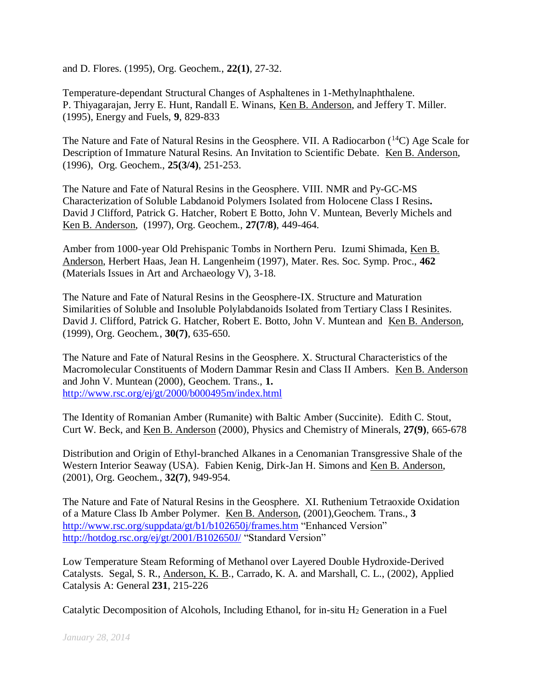and D. Flores. (1995), Org. Geochem., **22(1)**, 27-32.

Temperature-dependant Structural Changes of Asphaltenes in 1-Methylnaphthalene. P. Thiyagarajan, Jerry E. Hunt, Randall E. Winans, Ken B. Anderson, and Jeffery T. Miller. (1995), Energy and Fuels, **9**, 829-833

The Nature and Fate of Natural Resins in the Geosphere. VII. A Radiocarbon  $(^{14}C)$  Age Scale for Description of Immature Natural Resins. An Invitation to Scientific Debate. Ken B. Anderson, (1996), Org. Geochem., **25(3/4)**, 251-253.

The Nature and Fate of Natural Resins in the Geosphere. VIII. NMR and Py-GC-MS Characterization of Soluble Labdanoid Polymers Isolated from Holocene Class I Resins**.**  David J Clifford, Patrick G. Hatcher, Robert E Botto, John V. Muntean, Beverly Michels and Ken B. Anderson, (1997), Org. Geochem., **27(7/8)**, 449-464.

Amber from 1000-year Old Prehispanic Tombs in Northern Peru. Izumi Shimada, Ken B. Anderson, Herbert Haas, Jean H. Langenheim (1997), Mater. Res. Soc. Symp. Proc., **462**  (Materials Issues in Art and Archaeology V), 3-18.

The Nature and Fate of Natural Resins in the Geosphere-IX. Structure and Maturation Similarities of Soluble and Insoluble Polylabdanoids Isolated from Tertiary Class I Resinites. David J. Clifford, Patrick G. Hatcher, Robert E. Botto, John V. Muntean and Ken B. Anderson, (1999), Org. Geochem*.*, **30(7)**, 635-650.

The Nature and Fate of Natural Resins in the Geosphere. X. Structural Characteristics of the Macromolecular Constituents of Modern Dammar Resin and Class II Ambers. Ken B. Anderson and John V. Muntean (2000), Geochem. Trans., **1.** <http://www.rsc.org/ej/gt/2000/b000495m/index.html>

The Identity of Romanian Amber (Rumanite) with Baltic Amber (Succinite). Edith C. Stout, Curt W. Beck, and Ken B. Anderson (2000), Physics and Chemistry of Minerals, **27(9)**, 665-678

Distribution and Origin of Ethyl-branched Alkanes in a Cenomanian Transgressive Shale of the Western Interior Seaway (USA). Fabien Kenig, Dirk-Jan H. Simons and Ken B. Anderson, (2001), Org. Geochem., **32(7)**, 949-954.

The Nature and Fate of Natural Resins in the Geosphere. XI. Ruthenium Tetraoxide Oxidation of a Mature Class Ib Amber Polymer. Ken B. Anderson, (2001),Geochem. Trans., **3** <http://www.rsc.org/suppdata/gt/b1/b102650j/frames.htm> "Enhanced Version" <http://hotdog.rsc.org/ej/gt/2001/B102650J/> "Standard Version"

Low Temperature Steam Reforming of Methanol over Layered Double Hydroxide-Derived Catalysts. Segal, S. R., Anderson, K. B., Carrado, K. A. and Marshall, C. L., (2002), Applied Catalysis A: General **231**, 215-226

Catalytic Decomposition of Alcohols, Including Ethanol, for in-situ  $H_2$  Generation in a Fuel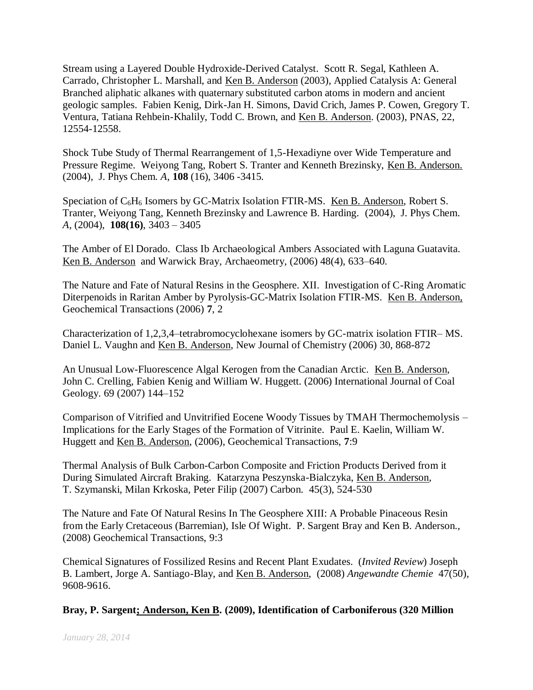Stream using a Layered Double Hydroxide-Derived Catalyst. Scott R. Segal, Kathleen A. Carrado, Christopher L. Marshall, and Ken B. Anderson (2003), Applied Catalysis A: General Branched aliphatic alkanes with quaternary substituted carbon atoms in modern and ancient geologic samples. Fabien Kenig, Dirk-Jan H. Simons, David Crich, James P. Cowen, Gregory T. Ventura, Tatiana Rehbein-Khalily, Todd C. Brown, and Ken B. Anderson. (2003), PNAS, 22, 12554-12558.

Shock Tube Study of Thermal Rearrangement of 1,5-Hexadiyne over Wide Temperature and Pressure Regime. Weiyong Tang, Robert S. Tranter and Kenneth Brezinsky, Ken B. Anderson. (2004), J. Phys Chem. *A*, **108** (16), 3406 -3415.

Speciation of C<sub>6</sub>H<sub>6</sub> Isomers by GC-Matrix Isolation FTIR-MS. Ken B. Anderson, Robert S. Tranter, Weiyong Tang, Kenneth Brezinsky and Lawrence B. Harding. (2004), J. Phys Chem. *A*, (2004), **108(16)**, 3403 – 3405

The Amber of El Dorado. Class Ib Archaeological Ambers Associated with Laguna Guatavita. Ken B. Anderson and Warwick Bray, Archaeometry*,* (2006) 48(4), 633–640.

The Nature and Fate of Natural Resins in the Geosphere. XII. Investigation of C-Ring Aromatic Diterpenoids in Raritan Amber by Pyrolysis-GC-Matrix Isolation FTIR-MS. Ken B. Anderson, Geochemical Transactions (2006) **7**, 2

Characterization of 1,2,3,4–tetrabromocyclohexane isomers by GC-matrix isolation FTIR– MS. Daniel L. Vaughn and Ken B. Anderson, New Journal of Chemistry (2006) 30, 868-872

An Unusual Low-Fluorescence Algal Kerogen from the Canadian Arctic. Ken B. Anderson, John C. Crelling, Fabien Kenig and William W. Huggett. (2006) International Journal of Coal Geology. 69 (2007) 144–152

Comparison of Vitrified and Unvitrified Eocene Woody Tissues by TMAH Thermochemolysis – Implications for the Early Stages of the Formation of Vitrinite. Paul E. Kaelin, William W. Huggett and Ken B. Anderson, (2006), Geochemical Transactions, **7**:9

Thermal Analysis of Bulk Carbon-Carbon Composite and Friction Products Derived from it During Simulated Aircraft Braking. Katarzyna Peszynska-Bialczyka, Ken B. Anderson, T. Szymanski, Milan Krkoska, Peter Filip (2007) Carbon. 45(3), 524-530

The Nature and Fate Of Natural Resins In The Geosphere XIII: A Probable Pinaceous Resin from the Early Cretaceous (Barremian), Isle Of Wight. P. Sargent Bray and Ken B. Anderson., (2008) Geochemical Transactions, 9:3

Chemical Signatures of Fossilized Resins and Recent Plant Exudates. (*Invited Review*) Joseph B. Lambert, Jorge A. Santiago-Blay, and Ken B. Anderson, (2008) *Angewandte Chemie* 47(50), 9608-9616.

### **Bray, P. Sargent; Anderson, Ken B. (2009), Identification of Carboniferous (320 Million**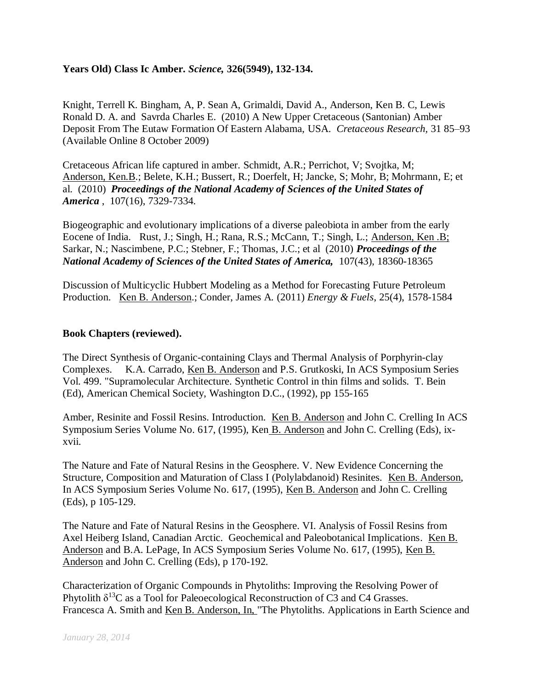# **Years Old) Class Ic Amber.** *Science,* **326(5949), 132-134.**

Knight, Terrell K. Bingham, A, P. Sean A, Grimaldi, David A., Anderson, Ken B. C, Lewis Ronald D. A. and Savrda Charles E. (2010) A New Upper Cretaceous (Santonian) Amber Deposit From The Eutaw Formation Of Eastern Alabama, USA. *Cretaceous Research,* 31 85–93 (Available Online 8 October 2009)

Cretaceous African life captured in amber. Schmidt, A.R.; Perrichot, V; Svojtka, M; Anderson, Ken.B.; Belete, K.H.; Bussert, R.; Doerfelt, H; Jancke, S; Mohr, B; Mohrmann, E; et al. (2010) *Proceedings of the National Academy of Sciences of the United States of America* , 107(16), 7329-7334.

Biogeographic and evolutionary implications of a diverse paleobiota in amber from the early Eocene of India. Rust, J.; Singh, H.; Rana, R.S.; McCann, T.; Singh, L.; Anderson, Ken .B; Sarkar, N.; Nascimbene, P.C.; Stebner, F.; Thomas, J.C.; et al (2010) *Proceedings of the National Academy of Sciences of the United States of America,* 107(43), 18360-18365

Discussion of Multicyclic Hubbert Modeling as a Method for Forecasting Future Petroleum Production. Ken B. Anderson.; Conder, James A*.* (2011) *Energy & Fuels*, 25(4), 1578-1584

### **Book Chapters (reviewed).**

The Direct Synthesis of Organic-containing Clays and Thermal Analysis of Porphyrin-clay Complexes. K.A. Carrado, Ken B. Anderson and P.S. Grutkoski, In ACS Symposium Series Vol. 499. "Supramolecular Architecture. Synthetic Control in thin films and solids. T. Bein (Ed), American Chemical Society, Washington D.C., (1992), pp 155-165

Amber, Resinite and Fossil Resins. Introduction. Ken B. Anderson and John C. Crelling In ACS Symposium Series Volume No. 617, (1995), Ken B. Anderson and John C. Crelling (Eds), ixxvii.

The Nature and Fate of Natural Resins in the Geosphere. V. New Evidence Concerning the Structure, Composition and Maturation of Class I (Polylabdanoid) Resinites. Ken B. Anderson, In ACS Symposium Series Volume No. 617, (1995), Ken B. Anderson and John C. Crelling (Eds), p 105-129.

The Nature and Fate of Natural Resins in the Geosphere. VI. Analysis of Fossil Resins from Axel Heiberg Island, Canadian Arctic. Geochemical and Paleobotanical Implications. Ken B. Anderson and B.A. LePage, In ACS Symposium Series Volume No. 617, (1995), Ken B. Anderson and John C. Crelling (Eds), p 170-192.

Characterization of Organic Compounds in Phytoliths: Improving the Resolving Power of Phytolith  $\delta^{13}C$  as a Tool for Paleoecological Reconstruction of C3 and C4 Grasses. Francesca A. Smith and Ken B. Anderson, In, "The Phytoliths. Applications in Earth Science and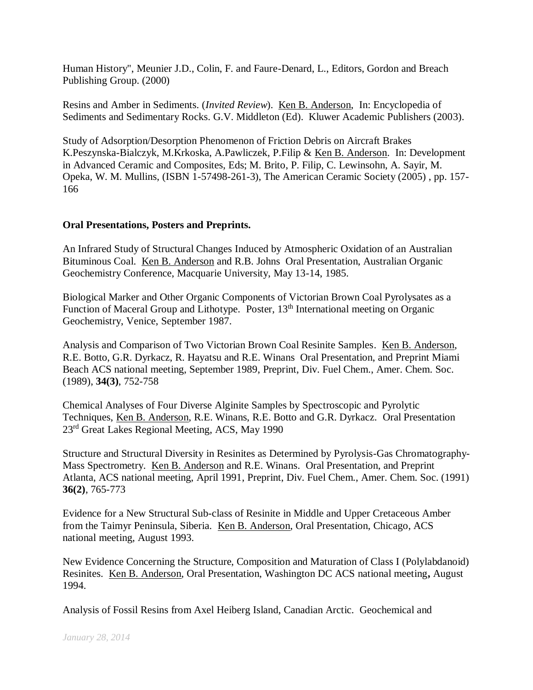Human History", Meunier J.D., Colin, F. and Faure-Denard, L., Editors, Gordon and Breach Publishing Group. (2000)

Resins and Amber in Sediments. (*Invited Review*). Ken B. Anderson, In: Encyclopedia of Sediments and Sedimentary Rocks. G.V. Middleton (Ed). Kluwer Academic Publishers (2003).

Study of Adsorption/Desorption Phenomenon of Friction Debris on Aircraft Brakes K.Peszynska-Bialczyk, M.Krkoska, A.Pawliczek, P.Filip & Ken B. Anderson. In: Development in Advanced Ceramic and Composites, Eds; M. Brito, P. Filip, C. Lewinsohn, A. Sayir, M. Opeka, W. M. Mullins, (ISBN 1-57498-261-3), The American Ceramic Society (2005) , pp. 157- 166

### **Oral Presentations, Posters and Preprints.**

An Infrared Study of Structural Changes Induced by Atmospheric Oxidation of an Australian Bituminous Coal. Ken B. Anderson and R.B. Johns Oral Presentation, Australian Organic Geochemistry Conference, Macquarie University, May 13-14, 1985.

Biological Marker and Other Organic Components of Victorian Brown Coal Pyrolysates as a Function of Maceral Group and Lithotype. Poster, 13<sup>th</sup> International meeting on Organic Geochemistry, Venice, September 1987.

Analysis and Comparison of Two Victorian Brown Coal Resinite Samples. Ken B. Anderson, R.E. Botto, G.R. Dyrkacz, R. Hayatsu and R.E. Winans Oral Presentation, and Preprint Miami Beach ACS national meeting, September 1989, Preprint, Div. Fuel Chem., Amer. Chem. Soc. (1989), **34(3)**, 752-758

Chemical Analyses of Four Diverse Alginite Samples by Spectroscopic and Pyrolytic Techniques, Ken B. Anderson, R.E. Winans, R.E. Botto and G.R. Dyrkacz. Oral Presentation 23rd Great Lakes Regional Meeting, ACS, May 1990

Structure and Structural Diversity in Resinites as Determined by Pyrolysis-Gas Chromatography-Mass Spectrometry. Ken B. Anderson and R.E. Winans. Oral Presentation, and Preprint Atlanta, ACS national meeting, April 1991, Preprint, Div. Fuel Chem., Amer. Chem. Soc. (1991) **36(2)**, 765-773

Evidence for a New Structural Sub-class of Resinite in Middle and Upper Cretaceous Amber from the Taimyr Peninsula, Siberia. Ken B. Anderson, Oral Presentation, Chicago, ACS national meeting, August 1993.

New Evidence Concerning the Structure, Composition and Maturation of Class I (Polylabdanoid) Resinites. Ken B. Anderson, Oral Presentation, Washington DC ACS national meeting**,** August 1994.

Analysis of Fossil Resins from Axel Heiberg Island, Canadian Arctic. Geochemical and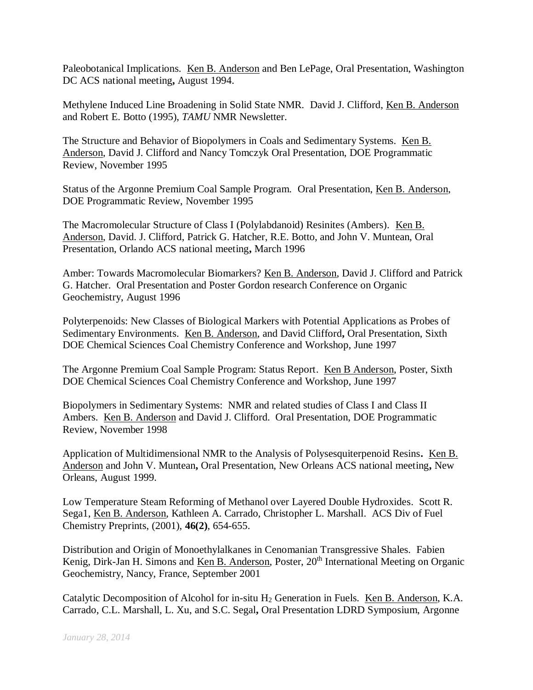Paleobotanical Implications. Ken B. Anderson and Ben LePage, Oral Presentation, Washington DC ACS national meeting**,** August 1994.

Methylene Induced Line Broadening in Solid State NMR. David J. Clifford, Ken B. Anderson and Robert E. Botto (1995), *TAMU* NMR Newsletter.

The Structure and Behavior of Biopolymers in Coals and Sedimentary Systems. Ken B. Anderson, David J. Clifford and Nancy Tomczyk Oral Presentation, DOE Programmatic Review, November 1995

Status of the Argonne Premium Coal Sample Program. Oral Presentation, Ken B. Anderson, DOE Programmatic Review, November 1995

The Macromolecular Structure of Class I (Polylabdanoid) Resinites (Ambers). Ken B. Anderson, David. J. Clifford, Patrick G. Hatcher, R.E. Botto, and John V. Muntean, Oral Presentation, Orlando ACS national meeting**,** March 1996

Amber: Towards Macromolecular Biomarkers? Ken B. Anderson, David J. Clifford and Patrick G. Hatcher. Oral Presentation and Poster Gordon research Conference on Organic Geochemistry, August 1996

Polyterpenoids: New Classes of Biological Markers with Potential Applications as Probes of Sedimentary Environments. Ken B. Anderson, and David Clifford**,** Oral Presentation, Sixth DOE Chemical Sciences Coal Chemistry Conference and Workshop, June 1997

The Argonne Premium Coal Sample Program: Status Report. Ken B Anderson, Poster, Sixth DOE Chemical Sciences Coal Chemistry Conference and Workshop, June 1997

Biopolymers in Sedimentary Systems: NMR and related studies of Class I and Class II Ambers. Ken B. Anderson and David J. Clifford. Oral Presentation, DOE Programmatic Review, November 1998

Application of Multidimensional NMR to the Analysis of Polysesquiterpenoid Resins**.** Ken B. Anderson and John V. Muntean**,** Oral Presentation, New Orleans ACS national meeting**,** New Orleans, August 1999.

Low Temperature Steam Reforming of Methanol over Layered Double Hydroxides. Scott R. Sega1, Ken B. Anderson, Kathleen A. Carrado, Christopher L. Marshall. ACS Div of Fuel Chemistry Preprints, (2001), **46(2)**, 654-655.

Distribution and Origin of Monoethylalkanes in Cenomanian Transgressive Shales. Fabien Kenig, Dirk-Jan H. Simons and Ken B. Anderson, Poster, 20<sup>th</sup> International Meeting on Organic Geochemistry, Nancy, France, September 2001

Catalytic Decomposition of Alcohol for in-situ  $H_2$  Generation in Fuels. Ken B. Anderson, K.A. Carrado, C.L. Marshall, L. Xu, and S.C. Segal**,** Oral Presentation LDRD Symposium, Argonne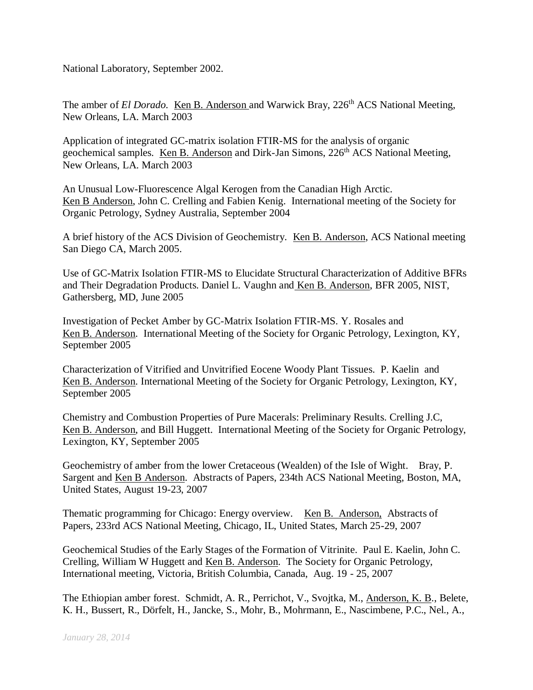National Laboratory, September 2002.

The amber of *El Dorado.* Ken B. Anderson and Warwick Bray, 226<sup>th</sup> ACS National Meeting, New Orleans, LA. March 2003

Application of integrated GC-matrix isolation FTIR-MS for the analysis of organic geochemical samples. Ken B. Anderson and Dirk-Jan Simons, 226<sup>th</sup> ACS National Meeting, New Orleans, LA. March 2003

An Unusual Low-Fluorescence Algal Kerogen from the Canadian High Arctic. Ken B Anderson, John C. Crelling and Fabien Kenig. International meeting of the Society for Organic Petrology, Sydney Australia, September 2004

A brief history of the ACS Division of Geochemistry. Ken B. Anderson, ACS National meeting San Diego CA, March 2005.

Use of GC-Matrix Isolation FTIR-MS to Elucidate Structural Characterization of Additive BFRs and Their Degradation Products. Daniel L. Vaughn and Ken B. Anderson, BFR 2005, NIST, Gathersberg, MD, June 2005

Investigation of Pecket Amber by GC-Matrix Isolation FTIR-MS. Y. Rosales and Ken B. Anderson. International Meeting of the Society for Organic Petrology, Lexington, KY, September 2005

Characterization of Vitrified and Unvitrified Eocene Woody Plant Tissues. P. Kaelin and Ken B. Anderson. International Meeting of the Society for Organic Petrology, Lexington, KY, September 2005

Chemistry and Combustion Properties of Pure Macerals: Preliminary Results. Crelling J.C, Ken B. Anderson, and Bill Huggett. International Meeting of the Society for Organic Petrology, Lexington, KY, September 2005

Geochemistry of amber from the lower Cretaceous (Wealden) of the Isle of Wight. Bray, P. Sargent and Ken B Anderson. Abstracts of Papers, 234th ACS National Meeting, Boston, MA, United States, August 19-23, 2007

Thematic programming for Chicago: Energy overview. Ken B. Anderson, Abstracts of Papers, 233rd ACS National Meeting, Chicago, IL, United States, March 25-29, 2007

Geochemical Studies of the Early Stages of the Formation of Vitrinite. Paul E. Kaelin, John C. Crelling, William W Huggett and Ken B. Anderson. The Society for Organic Petrology, International meeting, Victoria, British Columbia, Canada, Aug. 19 - 25, 2007

The Ethiopian amber forest. Schmidt, A. R., Perrichot, V., Svojtka, M., Anderson, K. B., Belete, K. H., Bussert, R., Dörfelt, H., Jancke, S., Mohr, B., Mohrmann, E., Nascimbene, P.C., Nel., A.,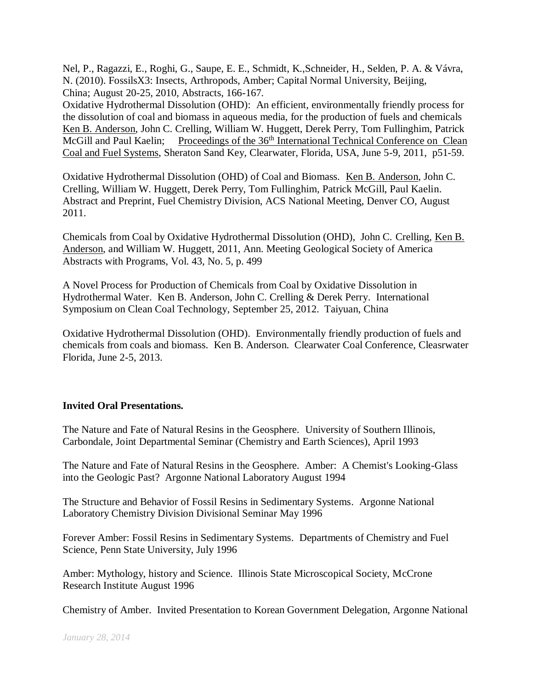Nel, P., Ragazzi, E., Roghi, G., Saupe, E. E., Schmidt, K.,Schneider, H., Selden, P. A. & Vávra, N. (2010). FossilsX3: Insects, Arthropods, Amber; Capital Normal University, Beijing, China; August 20-25, 2010, Abstracts, 166-167.

Oxidative Hydrothermal Dissolution (OHD): An efficient, environmentally friendly process for the dissolution of coal and biomass in aqueous media, for the production of fuels and chemicals Ken B. Anderson, John C. Crelling, William W. Huggett, Derek Perry, Tom Fullinghim, Patrick McGill and Paul Kaelin; Proceedings of the 36<sup>th</sup> International Technical Conference on Clean Coal and Fuel Systems, Sheraton Sand Key, Clearwater, Florida, USA, June 5-9, 2011, p51-59.

Oxidative Hydrothermal Dissolution (OHD) of Coal and Biomass. Ken B. Anderson, John C. Crelling, William W. Huggett, Derek Perry, Tom Fullinghim, Patrick McGill, Paul Kaelin. Abstract and Preprint, Fuel Chemistry Division, ACS National Meeting, Denver CO, August 2011.

Chemicals from Coal by Oxidative Hydrothermal Dissolution (OHD), John C. Crelling, Ken B. Anderson, and William W. Huggett, 2011, Ann. Meeting Geological Society of America Abstracts with Programs, Vol. 43, No. 5, p. 499

A Novel Process for Production of Chemicals from Coal by Oxidative Dissolution in Hydrothermal Water. Ken B. Anderson, John C. Crelling & Derek Perry. International Symposium on Clean Coal Technology, September 25, 2012. Taiyuan, China

Oxidative Hydrothermal Dissolution (OHD). Environmentally friendly production of fuels and chemicals from coals and biomass. Ken B. Anderson. Clearwater Coal Conference, Cleasrwater Florida, June 2-5, 2013.

### **Invited Oral Presentations.**

The Nature and Fate of Natural Resins in the Geosphere. University of Southern Illinois, Carbondale, Joint Departmental Seminar (Chemistry and Earth Sciences), April 1993

The Nature and Fate of Natural Resins in the Geosphere. Amber: A Chemist's Looking-Glass into the Geologic Past? Argonne National Laboratory August 1994

The Structure and Behavior of Fossil Resins in Sedimentary Systems. Argonne National Laboratory Chemistry Division Divisional Seminar May 1996

Forever Amber: Fossil Resins in Sedimentary Systems. Departments of Chemistry and Fuel Science, Penn State University, July 1996

Amber: Mythology, history and Science. Illinois State Microscopical Society, McCrone Research Institute August 1996

Chemistry of Amber. Invited Presentation to Korean Government Delegation, Argonne National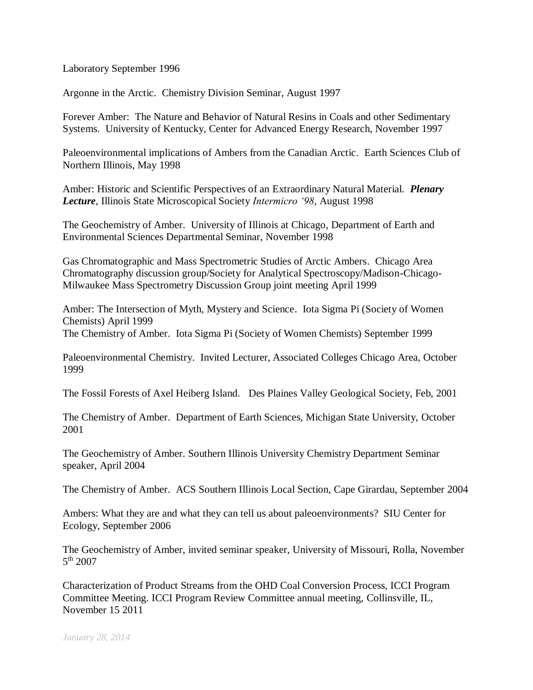Laboratory September 1996

Argonne in the Arctic. Chemistry Division Seminar, August 1997

Forever Amber: The Nature and Behavior of Natural Resins in Coals and other Sedimentary Systems. University of Kentucky, Center for Advanced Energy Research, November 1997

Paleoenvironmental implications of Ambers from the Canadian Arctic. Earth Sciences Club of Northern Illinois, May 1998

Amber: Historic and Scientific Perspectives of an Extraordinary Natural Material. *Plenary Lecture*, Illinois State Microscopical Society *Intermicro '98*, August 1998

The Geochemistry of Amber. University of Illinois at Chicago, Department of Earth and Environmental Sciences Departmental Seminar, November 1998

Gas Chromatographic and Mass Spectrometric Studies of Arctic Ambers. Chicago Area Chromatography discussion group/Society for Analytical Spectroscopy/Madison-Chicago-Milwaukee Mass Spectrometry Discussion Group joint meeting April 1999

Amber: The Intersection of Myth, Mystery and Science. Iota Sigma Pi (Society of Women Chemists) April 1999 The Chemistry of Amber. Iota Sigma Pi (Society of Women Chemists) September 1999

Paleoenvironmental Chemistry. Invited Lecturer, Associated Colleges Chicago Area, October 1999

The Fossil Forests of Axel Heiberg Island. Des Plaines Valley Geological Society, Feb, 2001

The Chemistry of Amber. Department of Earth Sciences, Michigan State University, October 2001

The Geochemistry of Amber. Southern Illinois University Chemistry Department Seminar speaker, April 2004

The Chemistry of Amber. ACS Southern Illinois Local Section, Cape Girardau, September 2004

Ambers: What they are and what they can tell us about paleoenvironments? SIU Center for Ecology, September 2006

The Geochemistry of Amber, invited seminar speaker, University of Missouri, Rolla, November 5 th 2007

Characterization of Product Streams from the OHD Coal Conversion Process, ICCI Program Committee Meeting. ICCI Program Review Committee annual meeting, Collinsville, IL, November 15 2011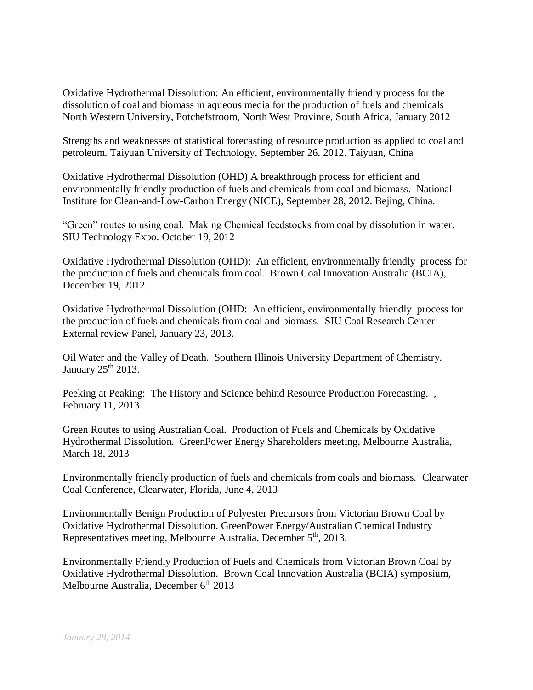Oxidative Hydrothermal Dissolution: An efficient, environmentally friendly process for the dissolution of coal and biomass in aqueous media for the production of fuels and chemicals North Western University, Potchefstroom, North West Province, South Africa, January 2012

Strengths and weaknesses of statistical forecasting of resource production as applied to coal and petroleum. Taiyuan University of Technology, September 26, 2012. Taiyuan, China

Oxidative Hydrothermal Dissolution (OHD) A breakthrough process for efficient and environmentally friendly production of fuels and chemicals from coal and biomass. National Institute for Clean-and-Low-Carbon Energy (NICE), September 28, 2012. Bejing, China.

"Green" routes to using coal. Making Chemical feedstocks from coal by dissolution in water. SIU Technology Expo. October 19, 2012

Oxidative Hydrothermal Dissolution (OHD): An efficient, environmentally friendly process for the production of fuels and chemicals from coal. Brown Coal Innovation Australia (BCIA), December 19, 2012.

Oxidative Hydrothermal Dissolution (OHD: An efficient, environmentally friendly process for the production of fuels and chemicals from coal and biomass. SIU Coal Research Center External review Panel, January 23, 2013.

Oil Water and the Valley of Death. Southern Illinois University Department of Chemistry. January  $25<sup>th</sup> 2013$ .

Peeking at Peaking: The History and Science behind Resource Production Forecasting. , February 11, 2013

Green Routes to using Australian Coal. Production of Fuels and Chemicals by Oxidative Hydrothermal Dissolution. GreenPower Energy Shareholders meeting, Melbourne Australia, March 18, 2013

Environmentally friendly production of fuels and chemicals from coals and biomass. Clearwater Coal Conference, Clearwater, Florida, June 4, 2013

Environmentally Benign Production of Polyester Precursors from Victorian Brown Coal by Oxidative Hydrothermal Dissolution. GreenPower Energy/Australian Chemical Industry Representatives meeting, Melbourne Australia, December 5<sup>th</sup>, 2013.

Environmentally Friendly Production of Fuels and Chemicals from Victorian Brown Coal by Oxidative Hydrothermal Dissolution. Brown Coal Innovation Australia (BCIA) symposium, Melbourne Australia, December  $6<sup>th</sup> 2013$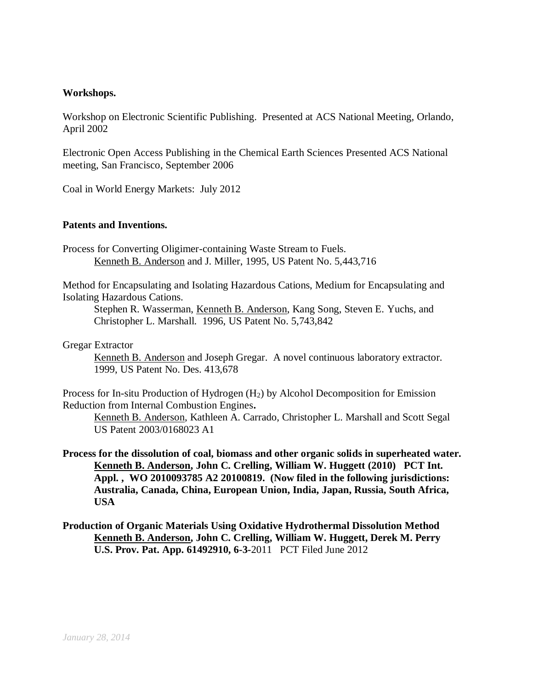#### **Workshops.**

Workshop on Electronic Scientific Publishing. Presented at ACS National Meeting, Orlando, April 2002

Electronic Open Access Publishing in the Chemical Earth Sciences Presented ACS National meeting, San Francisco, September 2006

Coal in World Energy Markets: July 2012

### **Patents and Inventions.**

Process for Converting Oligimer-containing Waste Stream to Fuels. Kenneth B. Anderson and J. Miller, 1995, US Patent No. 5,443,716

Method for Encapsulating and Isolating Hazardous Cations, Medium for Encapsulating and Isolating Hazardous Cations.

Stephen R. Wasserman, Kenneth B. Anderson, Kang Song, Steven E. Yuchs, and Christopher L. Marshall. 1996, US Patent No. 5,743,842

Gregar Extractor

Kenneth B. Anderson and Joseph Gregar. A novel continuous laboratory extractor. 1999, US Patent No. Des. 413,678

Process for In-situ Production of Hydrogen (H2) by Alcohol Decomposition for Emission Reduction from Internal Combustion Engines**.**

Kenneth B. Anderson, Kathleen A. Carrado, Christopher L. Marshall and Scott Segal US Patent 2003/0168023 A1

**Process for the dissolution of coal, biomass and other organic solids in superheated water. Kenneth B. Anderson, John C. Crelling, William W. Huggett (2010) PCT Int. Appl. , WO 2010093785 A2 20100819. (Now filed in the following jurisdictions: Australia, Canada, China, European Union, India, Japan, Russia, South Africa, USA**

**Production of Organic Materials Using Oxidative Hydrothermal Dissolution Method Kenneth B. Anderson, John C. Crelling, William W. Huggett, Derek M. Perry U.S. Prov. Pat. App. 61492910, 6-3-**2011 PCT Filed June 2012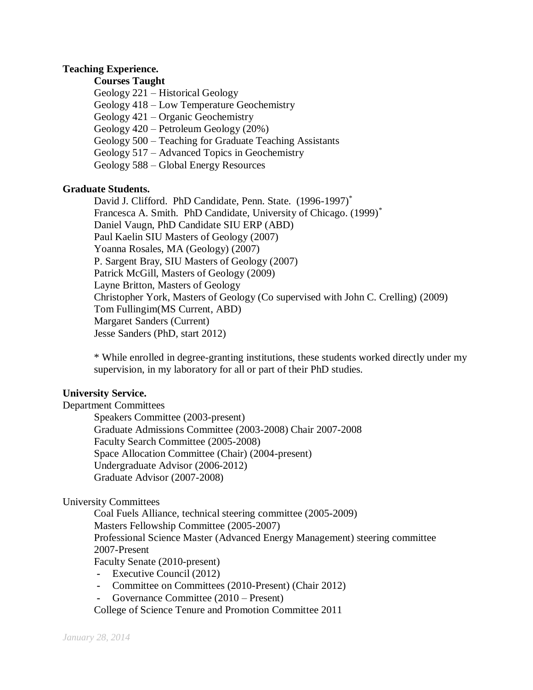### **Teaching Experience.**

# **Courses Taught**

- Geology 221 Historical Geology
- Geology 418 Low Temperature Geochemistry
- Geology 421 Organic Geochemistry
- Geology 420 Petroleum Geology (20%)
- Geology 500 Teaching for Graduate Teaching Assistants
- Geology 517 Advanced Topics in Geochemistry
- Geology 588 Global Energy Resources

### **Graduate Students.**

David J. Clifford. PhD Candidate, Penn. State. (1996-1997)<sup>\*</sup> Francesca A. Smith. PhD Candidate, University of Chicago. (1999)<sup>\*</sup> Daniel Vaugn, PhD Candidate SIU ERP (ABD) Paul Kaelin SIU Masters of Geology (2007) Yoanna Rosales, MA (Geology) (2007) P. Sargent Bray, SIU Masters of Geology (2007) Patrick McGill, Masters of Geology (2009) Layne Britton, Masters of Geology Christopher York, Masters of Geology (Co supervised with John C. Crelling) (2009) Tom Fullingim(MS Current, ABD) Margaret Sanders (Current) Jesse Sanders (PhD, start 2012)

\* While enrolled in degree-granting institutions, these students worked directly under my supervision, in my laboratory for all or part of their PhD studies.

### **University Service.**

Department Committees Speakers Committee (2003-present) Graduate Admissions Committee (2003-2008) Chair 2007-2008 Faculty Search Committee (2005-2008) Space Allocation Committee (Chair) (2004-present) Undergraduate Advisor (2006-2012) Graduate Advisor (2007-2008)

### University Committees

Coal Fuels Alliance, technical steering committee (2005-2009) Masters Fellowship Committee (2005-2007) Professional Science Master (Advanced Energy Management) steering committee 2007-Present Faculty Senate (2010-present)

- **-** Executive Council (2012)
- **-** Committee on Committees (2010-Present) (Chair 2012)
- **-** Governance Committee (2010 Present)

College of Science Tenure and Promotion Committee 2011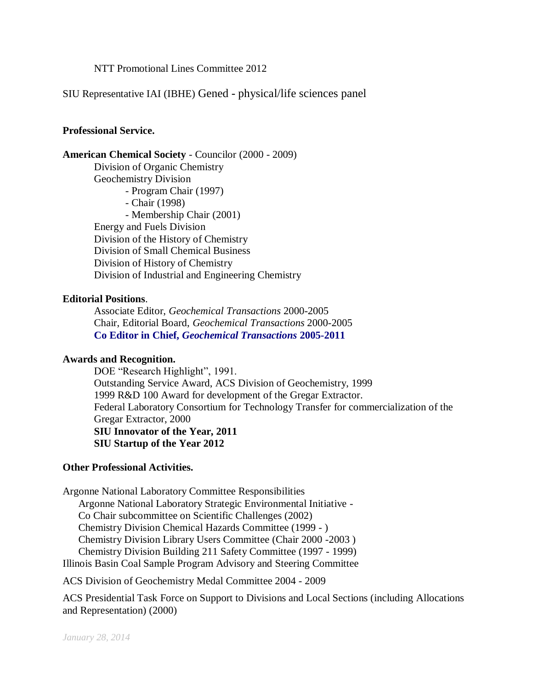NTT Promotional Lines Committee 2012

SIU Representative IAI (IBHE) Gened - physical/life sciences panel

### **Professional Service.**

**American Chemical Society** - Councilor (2000 - 2009) Division of Organic Chemistry Geochemistry Division - Program Chair (1997) - Chair (1998) - Membership Chair (2001) Energy and Fuels Division Division of the History of Chemistry Division of Small Chemical Business Division of History of Chemistry Division of Industrial and Engineering Chemistry

#### **Editorial Positions**.

Associate Editor, *Geochemical Transactions* 2000-2005 Chair, Editorial Board, *Geochemical Transactions* 2000-2005 **Co Editor in Chief,** *Geochemical Transactions* **2005-2011**

### **Awards and Recognition.**

DOE "Research Highlight", 1991. Outstanding Service Award, ACS Division of Geochemistry, 1999 1999 R&D 100 Award for development of the Gregar Extractor. Federal Laboratory Consortium for Technology Transfer for commercialization of the Gregar Extractor, 2000 **SIU Innovator of the Year, 2011 SIU Startup of the Year 2012**

#### **Other Professional Activities.**

Argonne National Laboratory Committee Responsibilities Argonne National Laboratory Strategic Environmental Initiative - Co Chair subcommittee on Scientific Challenges (2002) Chemistry Division Chemical Hazards Committee (1999 - ) Chemistry Division Library Users Committee (Chair 2000 -2003 ) Chemistry Division Building 211 Safety Committee (1997 - 1999) Illinois Basin Coal Sample Program Advisory and Steering Committee

ACS Division of Geochemistry Medal Committee 2004 - 2009

ACS Presidential Task Force on Support to Divisions and Local Sections (including Allocations and Representation) (2000)